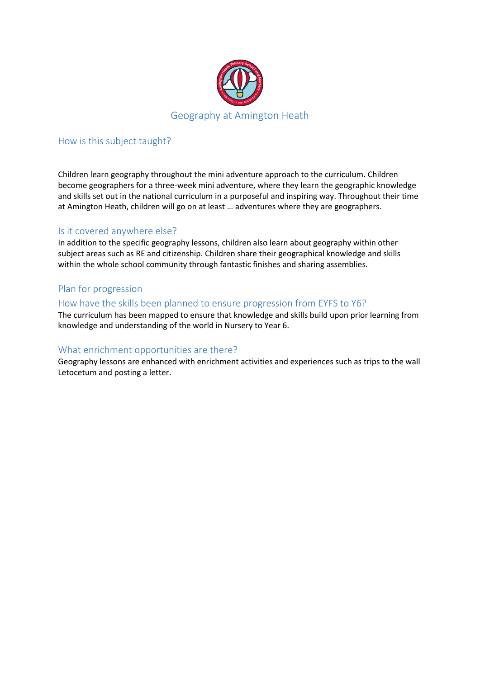

## How is this subject taught?

Children learn geography throughout the mini adventure approach to the curriculum. Children become geographers for a three-week mini adventure, where they learn the geographic knowledge and skills set out in the national curriculum in a purposeful and inspiring way. Throughout their time at Amington Heath, children will go on at least … adventures where they are geographers.

#### Is it covered anywhere else?

In addition to the specific geography lessons, children also learn about geography within other subject areas such as RE and citizenship. Children share their geographical knowledge and skills within the whole school community through fantastic finishes and sharing assemblies.

## Plan for progression

## How have the skills been planned to ensure progression from EYFS to Y6?

The curriculum has been mapped to ensure that knowledge and skills build upon prior learning from knowledge and understanding of the world in Nursery to Year 6.

#### What enrichment opportunities are there?

Geography lessons are enhanced with enrichment activities and experiences such as trips to the wall Letocetum and posting a letter.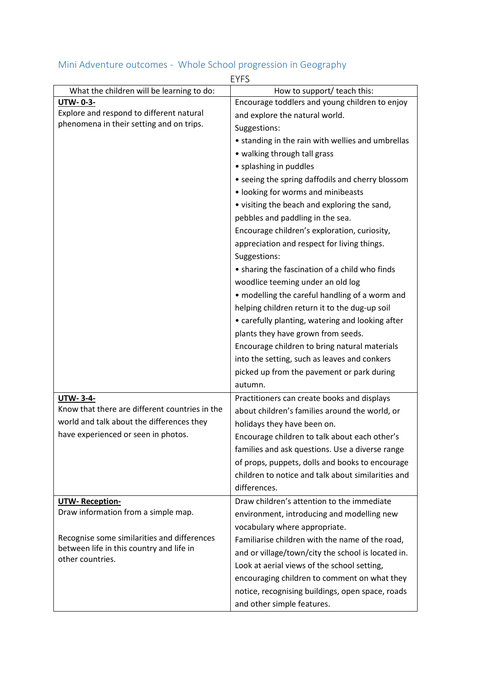|                                                              | <b>EYFS</b>                                        |
|--------------------------------------------------------------|----------------------------------------------------|
| What the children will be learning to do:                    | How to support/ teach this:                        |
| <b>UTW-0-3-</b>                                              | Encourage toddlers and young children to enjoy     |
| Explore and respond to different natural                     | and explore the natural world.                     |
| phenomena in their setting and on trips.                     | Suggestions:                                       |
|                                                              | • standing in the rain with wellies and umbrellas  |
|                                                              | • walking through tall grass                       |
|                                                              | • splashing in puddles                             |
|                                                              | • seeing the spring daffodils and cherry blossom   |
|                                                              | • looking for worms and minibeasts                 |
|                                                              | • visiting the beach and exploring the sand,       |
|                                                              | pebbles and paddling in the sea.                   |
|                                                              | Encourage children's exploration, curiosity,       |
|                                                              | appreciation and respect for living things.        |
|                                                              | Suggestions:                                       |
|                                                              | • sharing the fascination of a child who finds     |
|                                                              | woodlice teeming under an old log                  |
|                                                              | • modelling the careful handling of a worm and     |
|                                                              | helping children return it to the dug-up soil      |
|                                                              | • carefully planting, watering and looking after   |
|                                                              | plants they have grown from seeds.                 |
|                                                              | Encourage children to bring natural materials      |
|                                                              | into the setting, such as leaves and conkers       |
|                                                              | picked up from the pavement or park during         |
|                                                              | autumn.                                            |
| <b>UTW-3-4-</b>                                              | Practitioners can create books and displays        |
| Know that there are different countries in the               | about children's families around the world, or     |
| world and talk about the differences they                    | holidays they have been on.                        |
| have experienced or seen in photos.                          | Encourage children to talk about each other's      |
|                                                              | families and ask questions. Use a diverse range    |
|                                                              | of props, puppets, dolls and books to encourage    |
|                                                              | children to notice and talk about similarities and |
|                                                              | differences.                                       |
|                                                              | Draw children's attention to the immediate         |
| <b>UTW-Reception-</b><br>Draw information from a simple map. |                                                    |
|                                                              | environment, introducing and modelling new         |
| Recognise some similarities and differences                  | vocabulary where appropriate.                      |
| between life in this country and life in                     | Familiarise children with the name of the road,    |
| other countries.                                             | and or village/town/city the school is located in. |
|                                                              | Look at aerial views of the school setting,        |
|                                                              | encouraging children to comment on what they       |
|                                                              | notice, recognising buildings, open space, roads   |
|                                                              | and other simple features.                         |

# Mini Adventure outcomes - Whole School progression in Geography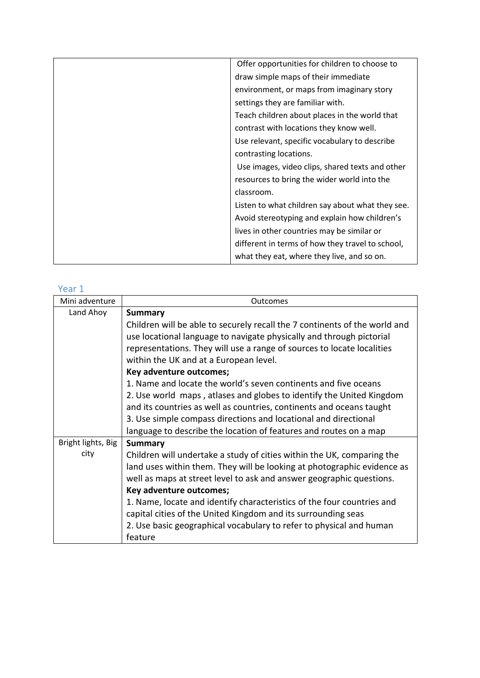| Offer opportunities for children to choose to    |
|--------------------------------------------------|
| draw simple maps of their immediate              |
| environment, or maps from imaginary story        |
| settings they are familiar with.                 |
| Teach children about places in the world that    |
| contrast with locations they know well.          |
| Use relevant, specific vocabulary to describe    |
| contrasting locations.                           |
| Use images, video clips, shared texts and other  |
| resources to bring the wider world into the      |
| classroom.                                       |
| Listen to what children say about what they see. |
| Avoid stereotyping and explain how children's    |
| lives in other countries may be similar or       |
| different in terms of how they travel to school, |
| what they eat, where they live, and so on.       |

| Mini adventure     | Outcomes                                                                   |
|--------------------|----------------------------------------------------------------------------|
| Land Ahoy          | <b>Summary</b>                                                             |
|                    | Children will be able to securely recall the 7 continents of the world and |
|                    | use locational language to navigate physically and through pictorial       |
|                    | representations. They will use a range of sources to locate localities     |
|                    | within the UK and at a European level.                                     |
|                    | Key adventure outcomes;                                                    |
|                    | 1. Name and locate the world's seven continents and five oceans            |
|                    | 2. Use world maps, atlases and globes to identify the United Kingdom       |
|                    | and its countries as well as countries, continents and oceans taught       |
|                    | 3. Use simple compass directions and locational and directional            |
|                    | language to describe the location of features and routes on a map          |
| Bright lights, Big | <b>Summary</b>                                                             |
| city               | Children will undertake a study of cities within the UK, comparing the     |
|                    | land uses within them. They will be looking at photographic evidence as    |
|                    | well as maps at street level to ask and answer geographic questions.       |
|                    | Key adventure outcomes;                                                    |
|                    | 1. Name, locate and identify characteristics of the four countries and     |
|                    | capital cities of the United Kingdom and its surrounding seas              |
|                    | 2. Use basic geographical vocabulary to refer to physical and human        |
|                    | feature                                                                    |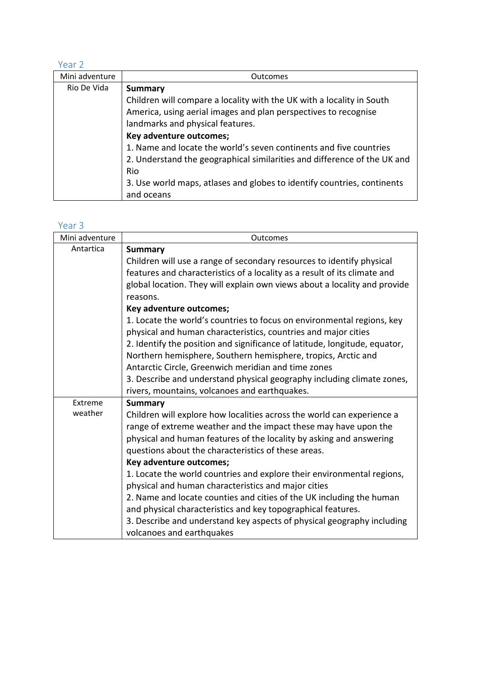| Mini adventure | <b>Outcomes</b>                                                          |
|----------------|--------------------------------------------------------------------------|
| Rio De Vida    | <b>Summary</b>                                                           |
|                | Children will compare a locality with the UK with a locality in South    |
|                | America, using aerial images and plan perspectives to recognise          |
|                | landmarks and physical features.                                         |
|                | Key adventure outcomes;                                                  |
|                | 1. Name and locate the world's seven continents and five countries       |
|                | 2. Understand the geographical similarities and difference of the UK and |
|                | Rio                                                                      |
|                | 3. Use world maps, atlases and globes to identify countries, continents  |
|                | and oceans                                                               |

| Mini adventure | Outcomes                                                                                                                                                                                                               |
|----------------|------------------------------------------------------------------------------------------------------------------------------------------------------------------------------------------------------------------------|
| Antartica      | <b>Summary</b>                                                                                                                                                                                                         |
|                | Children will use a range of secondary resources to identify physical                                                                                                                                                  |
|                | features and characteristics of a locality as a result of its climate and                                                                                                                                              |
|                | global location. They will explain own views about a locality and provide                                                                                                                                              |
|                | reasons.                                                                                                                                                                                                               |
|                | Key adventure outcomes;                                                                                                                                                                                                |
|                | 1. Locate the world's countries to focus on environmental regions, key<br>physical and human characteristics, countries and major cities<br>2. Identify the position and significance of latitude, longitude, equator, |
|                | Northern hemisphere, Southern hemisphere, tropics, Arctic and                                                                                                                                                          |
|                | Antarctic Circle, Greenwich meridian and time zones                                                                                                                                                                    |
|                | 3. Describe and understand physical geography including climate zones,                                                                                                                                                 |
|                | rivers, mountains, volcanoes and earthquakes.                                                                                                                                                                          |
| Extreme        | <b>Summary</b>                                                                                                                                                                                                         |
| weather        | Children will explore how localities across the world can experience a                                                                                                                                                 |
|                | range of extreme weather and the impact these may have upon the                                                                                                                                                        |
|                | physical and human features of the locality by asking and answering                                                                                                                                                    |
|                | questions about the characteristics of these areas.                                                                                                                                                                    |
|                | Key adventure outcomes;                                                                                                                                                                                                |
|                | 1. Locate the world countries and explore their environmental regions,                                                                                                                                                 |
|                | physical and human characteristics and major cities                                                                                                                                                                    |
|                | 2. Name and locate counties and cities of the UK including the human                                                                                                                                                   |
|                | and physical characteristics and key topographical features.                                                                                                                                                           |
|                | 3. Describe and understand key aspects of physical geography including                                                                                                                                                 |
|                | volcanoes and earthquakes                                                                                                                                                                                              |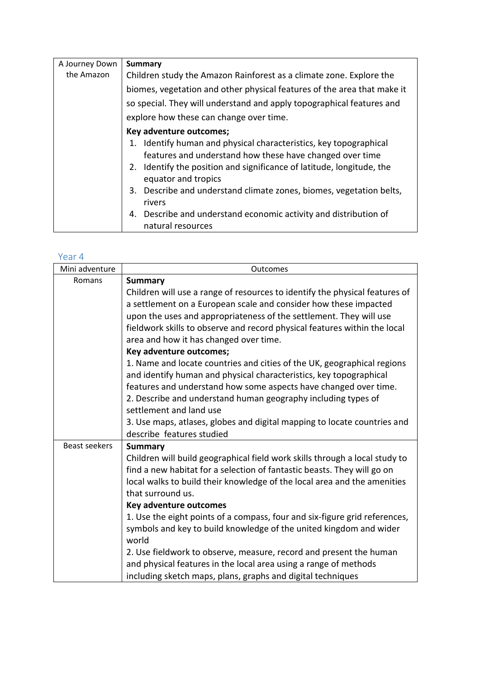| A Journey Down | <b>Summary</b>                                                                                                                   |
|----------------|----------------------------------------------------------------------------------------------------------------------------------|
| the Amazon     | Children study the Amazon Rainforest as a climate zone. Explore the                                                              |
|                | biomes, vegetation and other physical features of the area that make it                                                          |
|                | so special. They will understand and apply topographical features and                                                            |
|                | explore how these can change over time.                                                                                          |
|                | Key adventure outcomes;                                                                                                          |
|                | Identify human and physical characteristics, key topographical<br>1.<br>features and understand how these have changed over time |
|                | 2. Identify the position and significance of latitude, longitude, the<br>equator and tropics                                     |
|                | 3. Describe and understand climate zones, biomes, vegetation belts,<br>rivers                                                    |
|                | 4. Describe and understand economic activity and distribution of                                                                 |
|                | natural resources                                                                                                                |

| Mini adventure       | Outcomes                                                                    |
|----------------------|-----------------------------------------------------------------------------|
| Romans               | <b>Summary</b>                                                              |
|                      | Children will use a range of resources to identify the physical features of |
|                      | a settlement on a European scale and consider how these impacted            |
|                      | upon the uses and appropriateness of the settlement. They will use          |
|                      | fieldwork skills to observe and record physical features within the local   |
|                      | area and how it has changed over time.                                      |
|                      | Key adventure outcomes;                                                     |
|                      | 1. Name and locate countries and cities of the UK, geographical regions     |
|                      | and identify human and physical characteristics, key topographical          |
|                      | features and understand how some aspects have changed over time.            |
|                      | 2. Describe and understand human geography including types of               |
|                      | settlement and land use                                                     |
|                      | 3. Use maps, atlases, globes and digital mapping to locate countries and    |
|                      | describe features studied                                                   |
| <b>Beast seekers</b> | <b>Summary</b>                                                              |
|                      | Children will build geographical field work skills through a local study to |
|                      | find a new habitat for a selection of fantastic beasts. They will go on     |
|                      | local walks to build their knowledge of the local area and the amenities    |
|                      | that surround us.                                                           |
|                      | Key adventure outcomes                                                      |
|                      | 1. Use the eight points of a compass, four and six-figure grid references,  |
|                      | symbols and key to build knowledge of the united kingdom and wider          |
|                      | world                                                                       |
|                      | 2. Use fieldwork to observe, measure, record and present the human          |
|                      | and physical features in the local area using a range of methods            |
|                      | including sketch maps, plans, graphs and digital techniques                 |